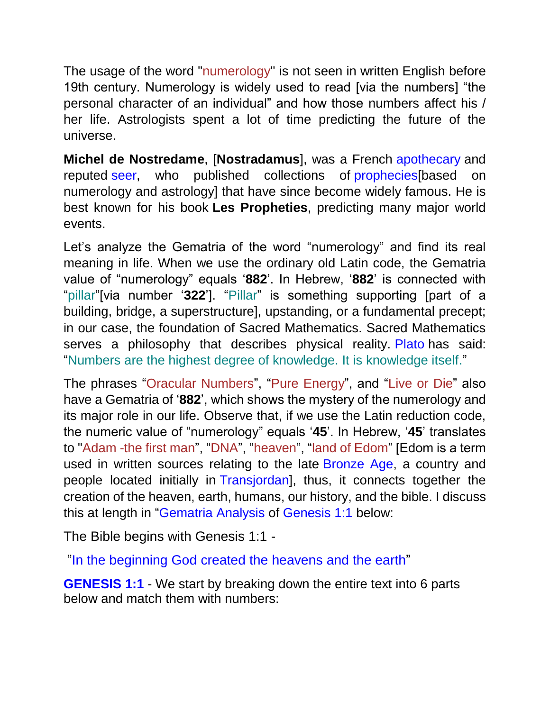The usage of the word "numerology" is not seen in written English before 19th century. Numerology is widely used to read [via the numbers] "the personal character of an individual" and how those numbers affect his / her life. Astrologists spent a lot of time predicting the future of the universe.

**Michel de Nostredame**, [**Nostradamus**], was a French [apothecary](https://en.wikipedia.org/wiki/Apothecary) and reputed [seer,](https://en.wikipedia.org/wiki/Oracle) who published collections of prophecies [based on numerology and astrology] that have since become widely famous. He is best known for his book **Les Propheties**, predicting many major world events.

Let's analyze the Gematria of the word "numerology" and find its real meaning in life. When we use the ordinary old Latin code, the Gematria value of "numerology" equals '**882**'. In Hebrew, '**882**' is connected with "pillar"[via number '**322**']. "Pillar" is something supporting [part of a building, bridge, a superstructure], upstanding, or a fundamental precept; in our case, the foundation of Sacred Mathematics. Sacred Mathematics serves a philosophy that describes physical reality. [Plato](https://en.wikipedia.org/wiki/Plato) has said: "Numbers are the highest degree of knowledge. It is knowledge itself."

The phrases "Oracular Numbers", "Pure Energy", and "Live or Die" also have a Gematria of '**882**', which shows the mystery of the numerology and its major role in our life. Observe that, if we use the Latin reduction code, the numeric value of "numerology" equals '**45**'. In Hebrew, '**45**' translates to "Adam -the first man", "DNA", "heaven", "land of Edom" [Edom is a term used in written sources relating to the late [Bronze Age,](https://en.wikipedia.org/wiki/Bronze_Age) a country and people located initially in [Transjordan\]](https://en.wikipedia.org/wiki/Transjordan_(region)), thus, it connects together the creation of the heaven, earth, humans, our history, and the bible. I discuss this at length in ["Gematria](http://matrix888.org/gematria/genesis-11/) [Analysis](http://matrix888.org/gematria/genesis-11/) of [Genesis 1:1](http://matrix888.org/gematria/genesis-11/) below:

The Bible begins with Genesis 1:1 -

["In the](https://www.biblegateway.com/passage/?search=Genesis%201:1) [beginning](https://www.biblegateway.com/passage/?search=Genesis%201:1) [God](https://www.biblegateway.com/passage/?search=Genesis%201:1) [created](https://www.biblegateway.com/passage/?search=Genesis%201:1) [the](https://www.biblegateway.com/passage/?search=Genesis%201:1) [heavens](https://www.biblegateway.com/passage/?search=Genesis%201:1) [and the](https://www.biblegateway.com/passage/?search=Genesis%201:1) [earth"](https://www.biblegateway.com/passage/?search=Genesis%201:1)

**[GENESIS 1:1](https://en.wikipedia.org/wiki/Genesis_1:1)** - We start by breaking down the entire text into 6 parts below and match them with numbers: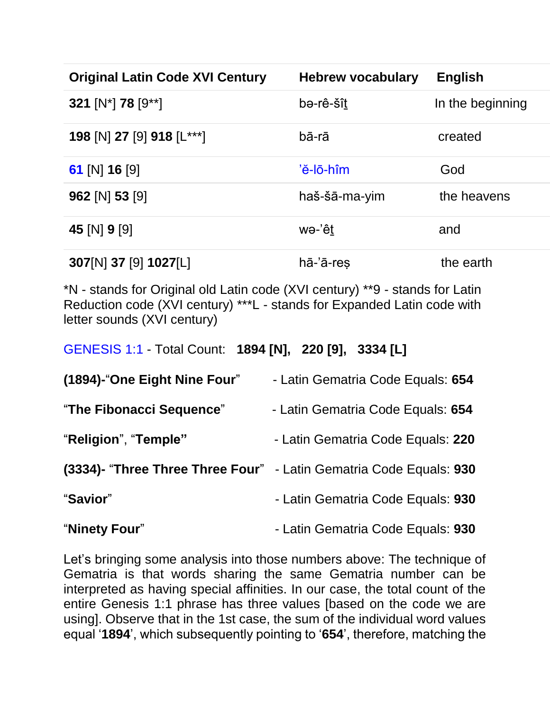| <b>Original Latin Code XVI Century</b>      | <b>Hebrew vocabulary</b>     | English          |
|---------------------------------------------|------------------------------|------------------|
| 321 [N <sup>*</sup> ] 78 [9 <sup>**</sup> ] | bə-rê-šît                    | In the beginning |
| 198 [N] 27 [9] 918 [L***]                   | bā-rā                        | created          |
| 61 [N] 16 [9]                               | 'ĕ-lō-hîm                    | God              |
| $962$ [N] 53 [9]                            | haš-šā-ma-yim                | the heavens      |
| 45 [N] 9 [9]                                | wə-'êt                       | and              |
| 307[N] 37 [9] 1027[L]                       | $h\bar{a}$ -' $\bar{a}$ -res | the earth        |

\*N - stands for Original old Latin code (XVI century) \*\*9 - stands for Latin Reduction code (XVI century) \*\*\*L - stands for Expanded Latin code with letter sounds (XVI century)

[GENESIS 1:1](https://en.wikipedia.org/wiki/Genesis_1:1) - Total Count: **1894 [N], 220 [9], 3334 [L]**

| (1894)-"One Eight Nine Four" | - Latin Gematria Code Equals: 654                                  |
|------------------------------|--------------------------------------------------------------------|
| "The Fibonacci Sequence"     | - Latin Gematria Code Equals: 654                                  |
| "Religion", "Temple"         | - Latin Gematria Code Equals: 220                                  |
|                              | (3334)- "Three Three Three Four" - Latin Gematria Code Equals: 930 |
| "Savior"                     | - Latin Gematria Code Equals: 930                                  |
| "Ninety Four"                | - Latin Gematria Code Equals: 930                                  |

Let's bringing some analysis into those numbers above: The technique of Gematria is that words sharing the same Gematria number can be interpreted as having special affinities. In our case, the total count of the entire Genesis 1:1 phrase has three values [based on the code we are using]. Observe that in the 1st case, the sum of the individual word values equal '**1894**', which subsequently pointing to '**654**', therefore, matching the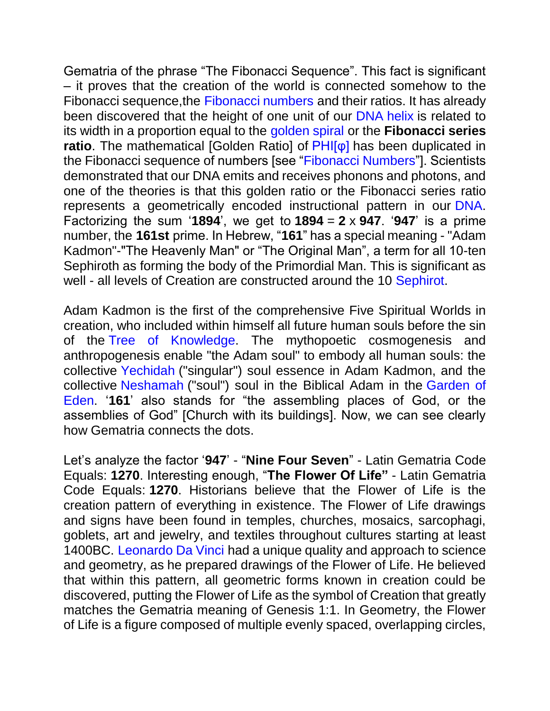Gematria of the phrase "The Fibonacci Sequence". This fact is significant – it proves that the creation of the world is connected somehow to the Fibonacci sequence,the [Fibonacci numbers](https://matrix888.org/fibonacci-numbers/) and their ratios. It has already been discovered that the height of one unit of our [DNA](https://en.wikipedia.org/wiki/DNA) [helix](http://www.livescience.com/37247-dna.html) is related to its width in a proportion equal to the [golden spiral](https://en.wikipedia.org/wiki/Golden_spiral) or the **Fibonacci series ratio**. The mathematical [Golden Ratio] of **[PHI\[φ\]](https://en.wikipedia.org/wiki/Phi)** has been duplicated in the Fibonacci sequence of numbers [see ["Fibonacci Numbers"](https://matrix888.org/fibonacci-numbers/)]. Scientists demonstrated that our DNA emits and receives phonons and photons, and one of the theories is that this golden ratio or the Fibonacci series ratio represents a geometrically encoded instructional pattern in our [DNA.](https://en.wikipedia.org/wiki/DNA) Factorizing the sum '1894', we get to  $1894 = 2 \times 947$ . '947' is a prime number, the **161st** prime. In Hebrew, "**161**" has a special meaning - "Adam Kadmon"-"The Heavenly Man" or "The Original Man", a term for all 10-ten Sephiroth as forming the body of the Primordial Man. This is significant as well - all levels of Creation are constructed around the 10 [Sephirot.](https://en.wikipedia.org/wiki/Sephirot)

Adam Kadmon is the first of the comprehensive Five Spiritual Worlds in creation, who included within himself all future human souls before the sin of the [Tree of Knowledge.](https://en.wikipedia.org/wiki/Tree_of_Knowledge_of_Good_and_Evil) The mythopoetic cosmogenesis and anthropogenesis enable "the Adam soul" to embody all human souls: the collective [Yechidah](https://en.wikipedia.org/wiki/Kochos_hanefesh) ("singular") soul essence in Adam Kadmon, and the collective [Neshamah](https://en.wikipedia.org/wiki/Kochos_hanefesh) ("soul") soul in the Biblical Adam in the [Garden of](https://en.wikipedia.org/wiki/Garden_of_Eden)  [Eden.](https://en.wikipedia.org/wiki/Garden_of_Eden) '**161**' also stands for "the assembling places of God, or the assemblies of God" [Church with its buildings]. Now, we can see clearly how Gematria connects the dots.

Let's analyze the factor '**947**' - "**Nine Four Seven**" - Latin Gematria Code Equals: **1270**. Interesting enough, "**The Flower Of Life"** - Latin Gematria Code Equals: **1270**. Historians believe that the Flower of Life is the creation pattern of everything in existence. The Flower of Life drawings and signs have been found in temples, churches, mosaics, sarcophagi, goblets, art and jewelry, and textiles throughout cultures starting at least 1400BC. [Leonardo Da Vinci](https://en.wikipedia.org/wiki/Leonardo_da_Vinci) had a unique quality and approach to science and geometry, as he prepared drawings of the Flower of Life. He believed that within this pattern, all geometric forms known in creation could be discovered, putting the Flower of Life as the symbol of Creation that greatly matches the Gematria meaning of Genesis 1:1. In Geometry, the Flower of Life is a figure composed of multiple evenly spaced, overlapping circles,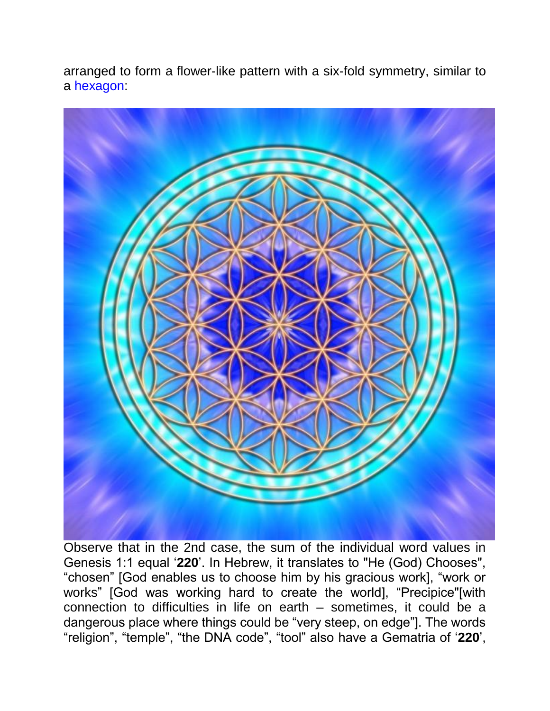arranged to form a flower-like pattern with a six-fold symmetry, similar to a [hexagon:](https://en.wikipedia.org/wiki/Hexagon)



Observe that in the 2nd case, the sum of the individual word values in Genesis 1:1 equal '**220**'. In Hebrew, it translates to "He (God) Chooses", "chosen" [God enables us to choose him by his gracious work], "work or works" [God was working hard to create the world], "Precipice"[with connection to difficulties in life on earth – sometimes, it could be a dangerous place where things could be "very steep, on edge"]. The words "religion", "temple", "the DNA code", "tool" also have a Gematria of '**220**',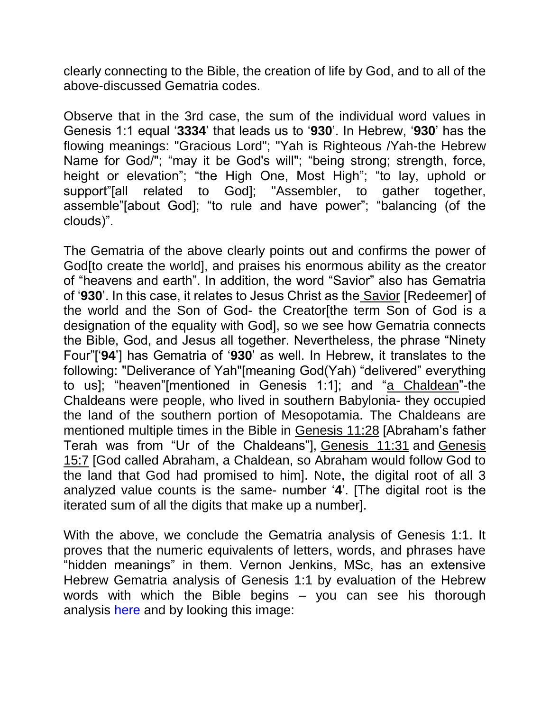clearly connecting to the Bible, the creation of life by God, and to all of the above-discussed Gematria codes.

Observe that in the 3rd case, the sum of the individual word values in Genesis 1:1 equal '**3334**' that leads us to '**930**'. In Hebrew, '**930**' has the flowing meanings: "Gracious Lord"; "Yah is Righteous /Yah-the Hebrew Name for God/"; "may it be God's will"; "being strong; strength, force, height or elevation"; "the High One, Most High"; "to lay, uphold or support"[all related to God]; "Assembler, to gather together, assemble"[about God]; "to rule and have power"; "balancing (of the clouds)".

The Gematria of the above clearly points out and confirms the power of God[to create the world], and praises his enormous ability as the creator of "heavens and earth". In addition, the word "Savior" also has Gematria of '**930**'. In this case, it relates to Jesus Christ as the Savior [Redeemer] of the world and the Son of God- the Creator[the term Son of God is a designation of the equality with God], so we see how Gematria connects the Bible, God, and Jesus all together. Nevertheless, the phrase "Ninety Four"['**94**'] has Gematria of '**930**' as well. In Hebrew, it translates to the following: "Deliverance of Yah"[meaning God(Yah) "delivered" everything to us]; "heaven"[mentioned in Genesis 1:1]; and "a Chaldean"-the Chaldeans were people, who lived in southern Babylonia- they occupied the land of the southern portion of Mesopotamia. The Chaldeans are mentioned multiple times in the Bible in Genesis 11:28 [Abraham's father Terah was from "Ur of the Chaldeans"], Genesis 11:31 and Genesis 15:7 [God called Abraham, a Chaldean, so Abraham would follow God to the land that God had promised to him]. Note, the digital root of all 3 analyzed value counts is the same- number '**4**'. [The digital root is the iterated sum of all the digits that make up a number].

With the above, we conclude the Gematria analysis of Genesis 1:1. It proves that the numeric equivalents of letters, words, and phrases have "hidden meanings" in them. Vernon Jenkins, MSc, has an extensive Hebrew Gematria analysis of Genesis 1:1 by evaluation of the Hebrew words with which the Bible begins – you can see his thorough analysis [here](http://www.whatabeginning.com/Misc/Tess1/P.htm) and by looking this image: